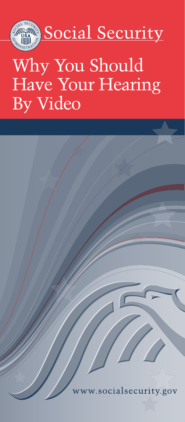

# Why You Should Have Your Hearing By Video

socialsecurity.gov.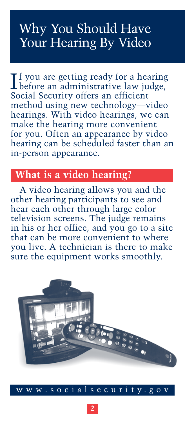## Why You Should Have Your Hearing By Video

If you are getting ready for a hearing<br>before an administrative law judge, f you are getting ready for a hearing Social Security offers an efficient method using new technology—video hearings. With video hearings, we can make the hearing more convenient for you. Often an appearance by video hearing can be scheduled faster than an in-person appearance.

## **What is a video hearing?**

A video hearing allows you and the other hearing participants to see and hear each other through large color television screens. The judge remains in his or her office, and you go to a site that can be more convenient to where you live. A technician is there to make sure the equipment works smoothly.

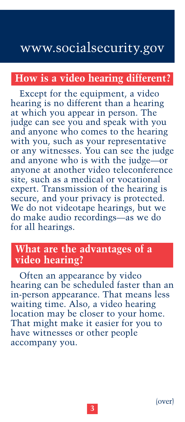## www.socialsecurity.gov

### **How is a video hearing different?**

Except for the equipment, a video hearing is no different than a hearing at which you appear in person. The judge can see you and speak with you and anyone who comes to the hearing with you, such as your representative or any witnesses. You can see the judge and anyone who is with the judge—or anyone at another video teleconference site, such as a medical or vocational expert. Transmission of the hearing is secure, and your privacy is protected. We do not videotape hearings, but we do make audio recordings—as we do for all hearings.

#### **What are the advantages of a video hearing?**

Often an appearance by video hearing can be scheduled faster than an in-person appearance. That means less waiting time. Also, a video hearing location may be closer to your home. That might make it easier for you to have witnesses or other people accompany you.